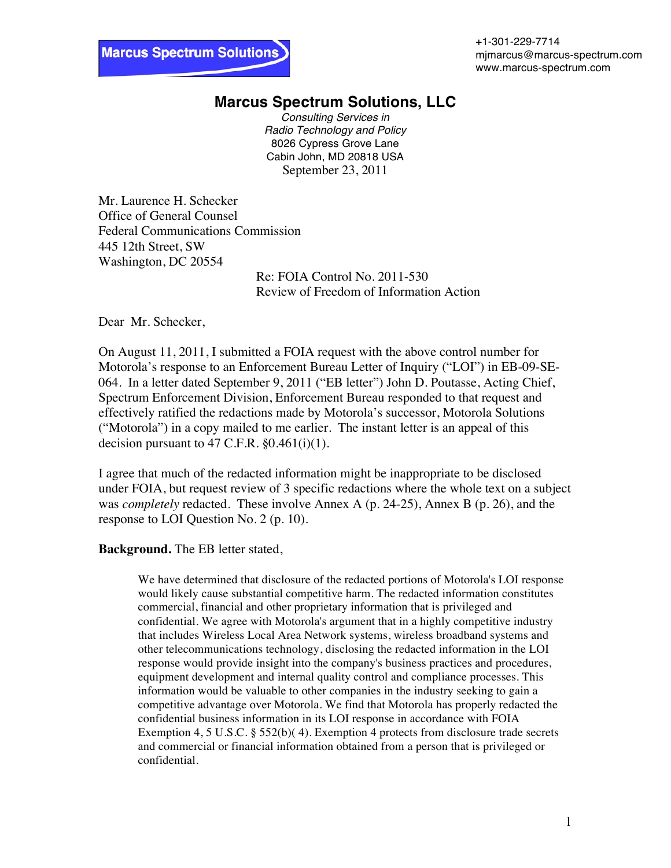+1-301-229-7714 mjmarcus@marcus-spectrum.com www.marcus-spectrum.com

## **Marcus Spectrum Solutions, LLC**

*Consulting Services in Radio Technology and Policy* 8026 Cypress Grove Lane Cabin John, MD 20818 USA September 23, 2011

Mr. Laurence H. Schecker Office of General Counsel Federal Communications Commission 445 12th Street, SW Washington, DC 20554

Re: FOIA Control No. 2011-530 Review of Freedom of Information Action

Dear Mr. Schecker,

On August 11, 2011, I submitted a FOIA request with the above control number for Motorola's response to an Enforcement Bureau Letter of Inquiry ("LOI") in EB-09-SE-064. In a letter dated September 9, 2011 ("EB letter") John D. Poutasse, Acting Chief, Spectrum Enforcement Division, Enforcement Bureau responded to that request and effectively ratified the redactions made by Motorola's successor, Motorola Solutions ("Motorola") in a copy mailed to me earlier. The instant letter is an appeal of this decision pursuant to  $47$  C.F.R.  $\S 0.461(i)(1)$ .

I agree that much of the redacted information might be inappropriate to be disclosed under FOIA, but request review of 3 specific redactions where the whole text on a subject was *completely* redacted. These involve Annex A (p. 24-25), Annex B (p. 26), and the response to LOI Question No. 2 (p. 10).

## **Background.** The EB letter stated,

We have determined that disclosure of the redacted portions of Motorola's LOI response would likely cause substantial competitive harm. The redacted information constitutes commercial, financial and other proprietary information that is privileged and confidential. We agree with Motorola's argument that in a highly competitive industry that includes Wireless Local Area Network systems, wireless broadband systems and other telecommunications technology, disclosing the redacted information in the LOI response would provide insight into the company's business practices and procedures, equipment development and internal quality control and compliance processes. This information would be valuable to other companies in the industry seeking to gain a competitive advantage over Motorola. We find that Motorola has properly redacted the confidential business information in its LOI response in accordance with FOIA Exemption 4, 5 U.S.C. § 552(b)(4). Exemption 4 protects from disclosure trade secrets and commercial or financial information obtained from a person that is privileged or confidential.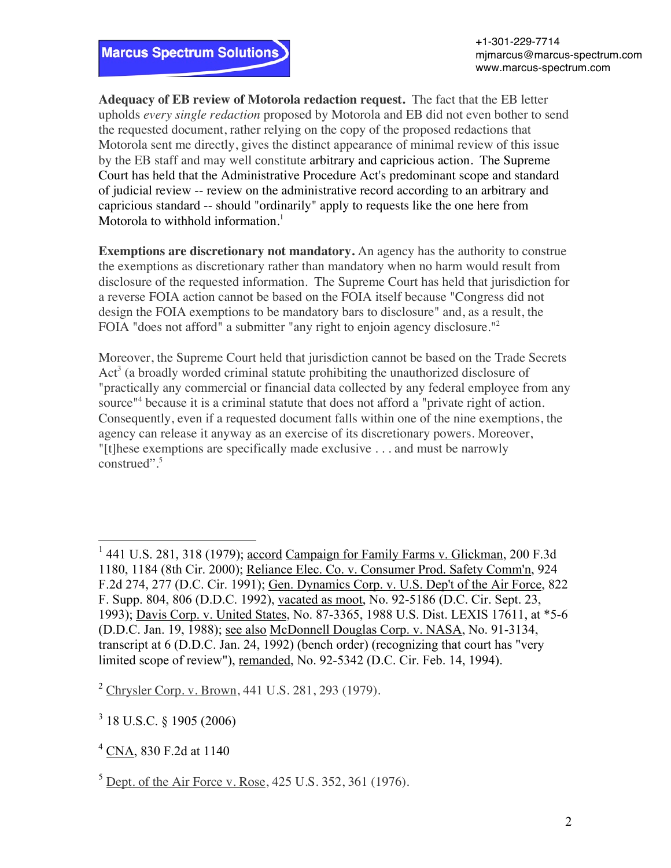

**Adequacy of EB review of Motorola redaction request.** The fact that the EB letter upholds *every single redaction* proposed by Motorola and EB did not even bother to send the requested document, rather relying on the copy of the proposed redactions that Motorola sent me directly, gives the distinct appearance of minimal review of this issue by the EB staff and may well constitute arbitrary and capricious action. The Supreme Court has held that the Administrative Procedure Act's predominant scope and standard of judicial review -- review on the administrative record according to an arbitrary and capricious standard -- should "ordinarily" apply to requests like the one here from Motorola to withhold information.<sup>1</sup>

**Exemptions are discretionary not mandatory.** An agency has the authority to construe the exemptions as discretionary rather than mandatory when no harm would result from disclosure of the requested information. The Supreme Court has held that jurisdiction for a reverse FOIA action cannot be based on the FOIA itself because "Congress did not design the FOIA exemptions to be mandatory bars to disclosure" and, as a result, the FOIA "does not afford" a submitter "any right to enjoin agency disclosure."<sup>2</sup>

Moreover, the Supreme Court held that jurisdiction cannot be based on the Trade Secrets  $Act<sup>3</sup>$  (a broadly worded criminal statute prohibiting the unauthorized disclosure of "practically any commercial or financial data collected by any federal employee from any source<sup>"4</sup> because it is a criminal statute that does not afford a "private right of action. Consequently, even if a requested document falls within one of the nine exemptions, the agency can release it anyway as an exercise of its discretionary powers. Moreover, "[t]hese exemptions are specifically made exclusive . . . and must be narrowly construed". $5$ 

<sup>2</sup> Chrysler Corp. v. Brown, 441 U.S. 281, 293 (1979).

<sup>3</sup> 18 U.S.C. § 1905 (2006)

 <sup>1</sup> 441 U.S. 281, 318 (1979); accord Campaign for Family Farms v. Glickman, 200 F.3d 1180, 1184 (8th Cir. 2000); Reliance Elec. Co. v. Consumer Prod. Safety Comm'n, 924 F.2d 274, 277 (D.C. Cir. 1991); Gen. Dynamics Corp. v. U.S. Dep't of the Air Force, 822 F. Supp. 804, 806 (D.D.C. 1992), vacated as moot, No. 92-5186 (D.C. Cir. Sept. 23, 1993); Davis Corp. v. United States, No. 87-3365, 1988 U.S. Dist. LEXIS 17611, at \*5-6 (D.D.C. Jan. 19, 1988); see also McDonnell Douglas Corp. v. NASA, No. 91-3134, transcript at 6 (D.D.C. Jan. 24, 1992) (bench order) (recognizing that court has "very limited scope of review"), remanded, No. 92-5342 (D.C. Cir. Feb. 14, 1994).

<sup>4</sup> CNA, 830 F.2d at 1140

<sup>5</sup> Dept. of the Air Force v. Rose, 425 U.S. 352, 361 (1976).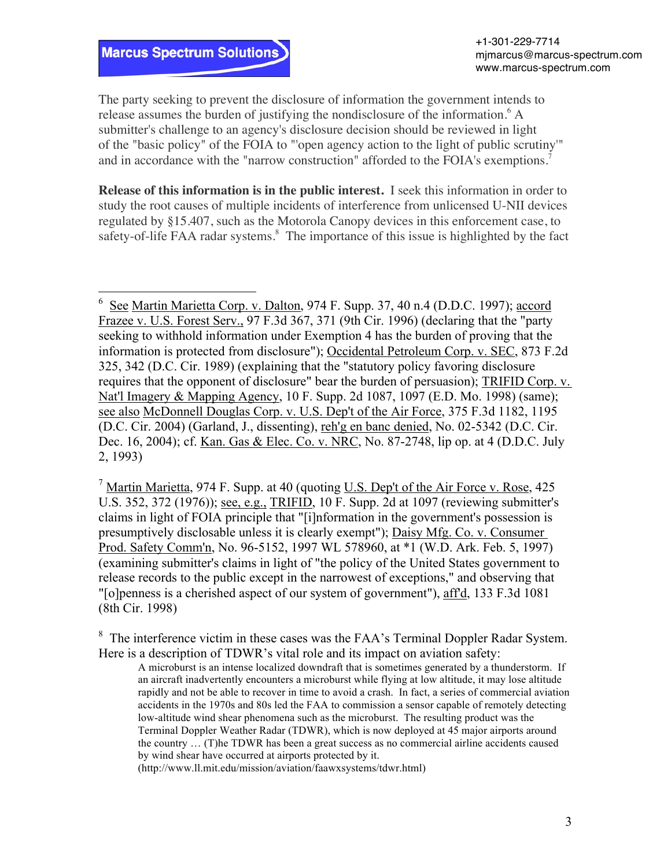## **Marcus Spectrum Solutions**

The party seeking to prevent the disclosure of information the government intends to release assumes the burden of justifying the nondisclosure of the information.<sup>6</sup> A submitter's challenge to an agency's disclosure decision should be reviewed in light of the "basic policy" of the FOIA to "'open agency action to the light of public scrutiny'" and in accordance with the "narrow construction" afforded to the FOIA's exemptions.<sup>7</sup>

**Release of this information is in the public interest.** I seek this information in order to study the root causes of multiple incidents of interference from unlicensed U-NII devices regulated by §15.407, such as the Motorola Canopy devices in this enforcement case, to safety-of-life FAA radar systems.<sup>8</sup> The importance of this issue is highlighted by the fact

<sup>7</sup> Martin Marietta, 974 F. Supp. at 40 (quoting U.S. Dep't of the Air Force v. Rose, 425 U.S. 352, 372 (1976)); see, e.g., TRIFID, 10 F. Supp. 2d at 1097 (reviewing submitter's claims in light of FOIA principle that "[i]nformation in the government's possession is presumptively disclosable unless it is clearly exempt"); Daisy Mfg. Co. v. Consumer Prod. Safety Comm'n, No. 96-5152, 1997 WL 578960, at \*1 (W.D. Ark. Feb. 5, 1997) (examining submitter's claims in light of "the policy of the United States government to release records to the public except in the narrowest of exceptions," and observing that "[o]penness is a cherished aspect of our system of government"), aff'd, 133 F.3d 1081 (8th Cir. 1998)

 $8\text{ The interference victim in these cases was the FAA's Terminal Doppler Radar System.}$ Here is a description of TDWR's vital role and its impact on aviation safety:

A microburst is an intense localized downdraft that is sometimes generated by a thunderstorm. If an aircraft inadvertently encounters a microburst while flying at low altitude, it may lose altitude rapidly and not be able to recover in time to avoid a crash. In fact, a series of commercial aviation accidents in the 1970s and 80s led the FAA to commission a sensor capable of remotely detecting low-altitude wind shear phenomena such as the microburst. The resulting product was the Terminal Doppler Weather Radar (TDWR), which is now deployed at 45 major airports around the country … (T)he TDWR has been a great success as no commercial airline accidents caused by wind shear have occurred at airports protected by it.

(http://www.ll.mit.edu/mission/aviation/faawxsystems/tdwr.html)

 <sup>6</sup> See Martin Marietta Corp. v. Dalton, 974 F. Supp. 37, 40 n.4 (D.D.C. 1997); accord Frazee v. U.S. Forest Serv., 97 F.3d 367, 371 (9th Cir. 1996) (declaring that the "party seeking to withhold information under Exemption 4 has the burden of proving that the information is protected from disclosure"); Occidental Petroleum Corp. v. SEC, 873 F.2d 325, 342 (D.C. Cir. 1989) (explaining that the "statutory policy favoring disclosure requires that the opponent of disclosure" bear the burden of persuasion); TRIFID Corp. v. Nat'l Imagery & Mapping Agency, 10 F. Supp. 2d 1087, 1097 (E.D. Mo. 1998) (same); see also McDonnell Douglas Corp. v. U.S. Dep't of the Air Force, 375 F.3d 1182, 1195 (D.C. Cir. 2004) (Garland, J., dissenting), reh'g en banc denied, No. 02-5342 (D.C. Cir. Dec. 16, 2004); cf. Kan. Gas & Elec. Co. v. NRC, No. 87-2748, lip op. at 4 (D.D.C. July 2, 1993)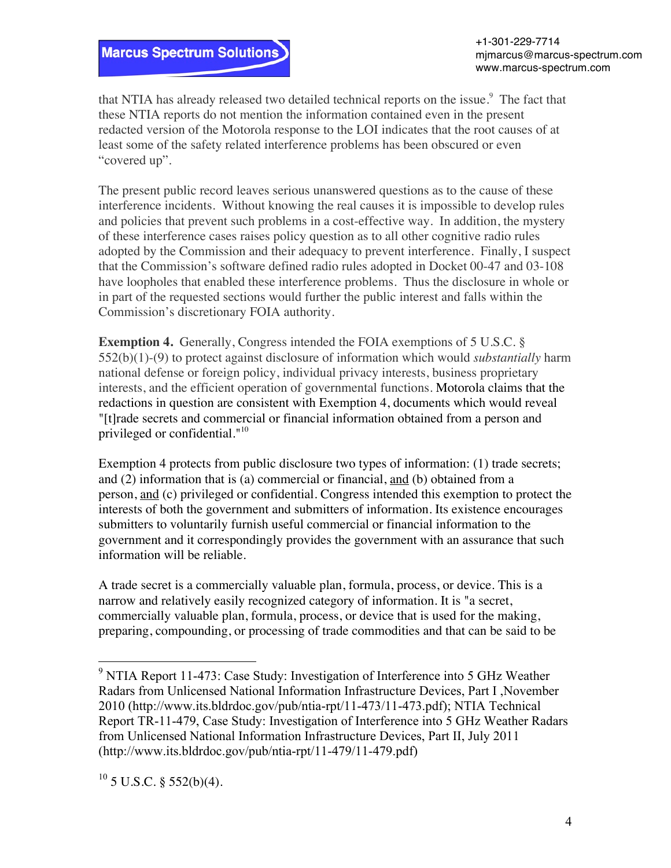

that NTIA has already released two detailed technical reports on the issue.<sup>9</sup> The fact that these NTIA reports do not mention the information contained even in the present redacted version of the Motorola response to the LOI indicates that the root causes of at least some of the safety related interference problems has been obscured or even "covered up".

The present public record leaves serious unanswered questions as to the cause of these interference incidents. Without knowing the real causes it is impossible to develop rules and policies that prevent such problems in a cost-effective way. In addition, the mystery of these interference cases raises policy question as to all other cognitive radio rules adopted by the Commission and their adequacy to prevent interference. Finally, I suspect that the Commission's software defined radio rules adopted in Docket 00-47 and 03-108 have loopholes that enabled these interference problems. Thus the disclosure in whole or in part of the requested sections would further the public interest and falls within the Commission's discretionary FOIA authority.

**Exemption 4.** Generally, Congress intended the FOIA exemptions of 5 U.S.C. § 552(b)(1)-(9) to protect against disclosure of information which would *substantially* harm national defense or foreign policy, individual privacy interests, business proprietary interests, and the efficient operation of governmental functions. Motorola claims that the redactions in question are consistent with Exemption 4, documents which would reveal "[t]rade secrets and commercial or financial information obtained from a person and privileged or confidential."<sup>10</sup>

Exemption 4 protects from public disclosure two types of information: (1) trade secrets; and (2) information that is (a) commercial or financial, and (b) obtained from a person, and (c) privileged or confidential. Congress intended this exemption to protect the interests of both the government and submitters of information. Its existence encourages submitters to voluntarily furnish useful commercial or financial information to the government and it correspondingly provides the government with an assurance that such information will be reliable.

A trade secret is a commercially valuable plan, formula, process, or device. This is a narrow and relatively easily recognized category of information. It is "a secret, commercially valuable plan, formula, process, or device that is used for the making, preparing, compounding, or processing of trade commodities and that can be said to be

 $10$  5 U.S.C. § 552(b)(4).

 <sup>9</sup> NTIA Report 11-473: Case Study: Investigation of Interference into 5 GHz Weather Radars from Unlicensed National Information Infrastructure Devices, Part I ,November 2010 (http://www.its.bldrdoc.gov/pub/ntia-rpt/11-473/11-473.pdf); NTIA Technical Report TR-11-479, Case Study: Investigation of Interference into 5 GHz Weather Radars from Unlicensed National Information Infrastructure Devices, Part II, July 2011 (http://www.its.bldrdoc.gov/pub/ntia-rpt/11-479/11-479.pdf)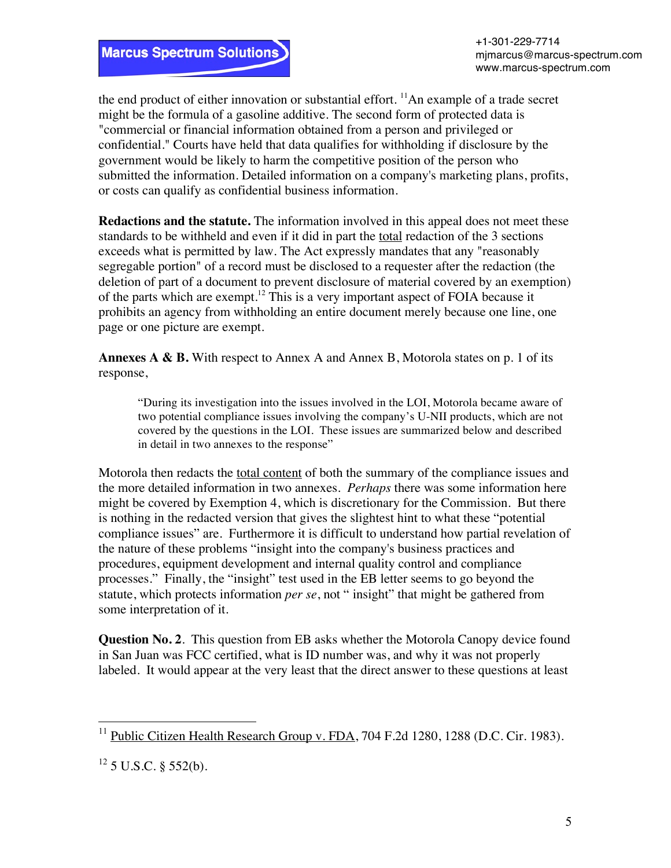the end product of either innovation or substantial effort.  $\frac{11}{2}$ An example of a trade secret might be the formula of a gasoline additive. The second form of protected data is "commercial or financial information obtained from a person and privileged or confidential." Courts have held that data qualifies for withholding if disclosure by the government would be likely to harm the competitive position of the person who submitted the information. Detailed information on a company's marketing plans, profits, or costs can qualify as confidential business information.

**Redactions and the statute.** The information involved in this appeal does not meet these standards to be withheld and even if it did in part the total redaction of the 3 sections exceeds what is permitted by law. The Act expressly mandates that any "reasonably segregable portion" of a record must be disclosed to a requester after the redaction (the deletion of part of a document to prevent disclosure of material covered by an exemption) of the parts which are exempt.12 This is a very important aspect of FOIA because it prohibits an agency from withholding an entire document merely because one line, one page or one picture are exempt.

**Annexes A & B.** With respect to Annex A and Annex B, Motorola states on p. 1 of its response,

"During its investigation into the issues involved in the LOI, Motorola became aware of two potential compliance issues involving the company's U-NII products, which are not covered by the questions in the LOI. These issues are summarized below and described in detail in two annexes to the response"

Motorola then redacts the total content of both the summary of the compliance issues and the more detailed information in two annexes. *Perhaps* there was some information here might be covered by Exemption 4, which is discretionary for the Commission. But there is nothing in the redacted version that gives the slightest hint to what these "potential compliance issues" are. Furthermore it is difficult to understand how partial revelation of the nature of these problems "insight into the company's business practices and procedures, equipment development and internal quality control and compliance processes." Finally, the "insight" test used in the EB letter seems to go beyond the statute, which protects information *per se*, not " insight" that might be gathered from some interpretation of it.

**Question No. 2.** This question from EB asks whether the Motorola Canopy device found in San Juan was FCC certified, what is ID number was, and why it was not properly labeled. It would appear at the very least that the direct answer to these questions at least

<sup>&</sup>lt;sup>11</sup> Public Citizen Health Research Group v. FDA, 704 F.2d 1280, 1288 (D.C. Cir. 1983).

 $12$  5 U.S.C. § 552(b).